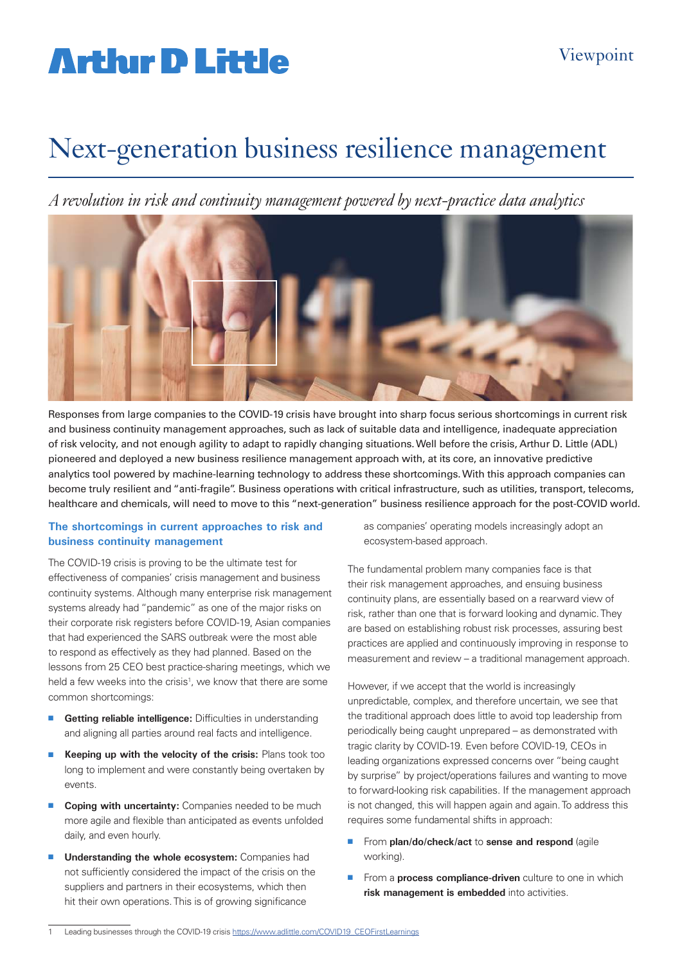## **Artlur D Little**

### Next-generation business resilience management

*A revolution in risk and continuity management powered by next-practice data analytics*



Responses from large companies to the COVID-19 crisis have brought into sharp focus serious shortcomings in current risk and business continuity management approaches, such as lack of suitable data and intelligence, inadequate appreciation of risk velocity, and not enough agility to adapt to rapidly changing situations. Well before the crisis, Arthur D. Little (ADL) pioneered and deployed a new business resilience management approach with, at its core, an innovative predictive analytics tool powered by machine-learning technology to address these shortcomings. With this approach companies can become truly resilient and "anti-fragile". Business operations with critical infrastructure, such as utilities, transport, telecoms, healthcare and chemicals, will need to move to this "next-generation" business resilience approach for the post-COVID world.

#### **The shortcomings in current approaches to risk and business continuity management**

The COVID-19 crisis is proving to be the ultimate test for effectiveness of companies' crisis management and business continuity systems. Although many enterprise risk management systems already had "pandemic" as one of the major risks on their corporate risk registers before COVID-19, Asian companies that had experienced the SARS outbreak were the most able to respond as effectively as they had planned. Based on the lessons from 25 CEO best practice-sharing meetings, which we held a few weeks into the crisis<sup>1</sup>, we know that there are some common shortcomings:

- **E** Getting reliable intelligence: Difficulties in understanding and aligning all parties around real facts and intelligence.
- **Keeping up with the velocity of the crisis:** Plans took too long to implement and were constantly being overtaken by events.
- **n** Coping with uncertainty: Companies needed to be much more agile and flexible than anticipated as events unfolded daily, and even hourly.
- **n Understanding the whole ecosystem:** Companies had not sufficiently considered the impact of the crisis on the suppliers and partners in their ecosystems, which then hit their own operations. This is of growing significance

as companies' operating models increasingly adopt an ecosystem-based approach.

The fundamental problem many companies face is that their risk management approaches, and ensuing business continuity plans, are essentially based on a rearward view of risk, rather than one that is forward looking and dynamic. They are based on establishing robust risk processes, assuring best practices are applied and continuously improving in response to measurement and review – a traditional management approach.

However, if we accept that the world is increasingly unpredictable, complex, and therefore uncertain, we see that the traditional approach does little to avoid top leadership from periodically being caught unprepared – as demonstrated with tragic clarity by COVID-19. Even before COVID-19, CEOs in leading organizations expressed concerns over "being caught by surprise" by project/operations failures and wanting to move to forward-looking risk capabilities. If the management approach is not changed, this will happen again and again. To address this requires some fundamental shifts in approach:

- From plan/do/check/act to sense and respond (agile working).
- **From a process compliance-driven** culture to one in which **risk management is embedded** into activities.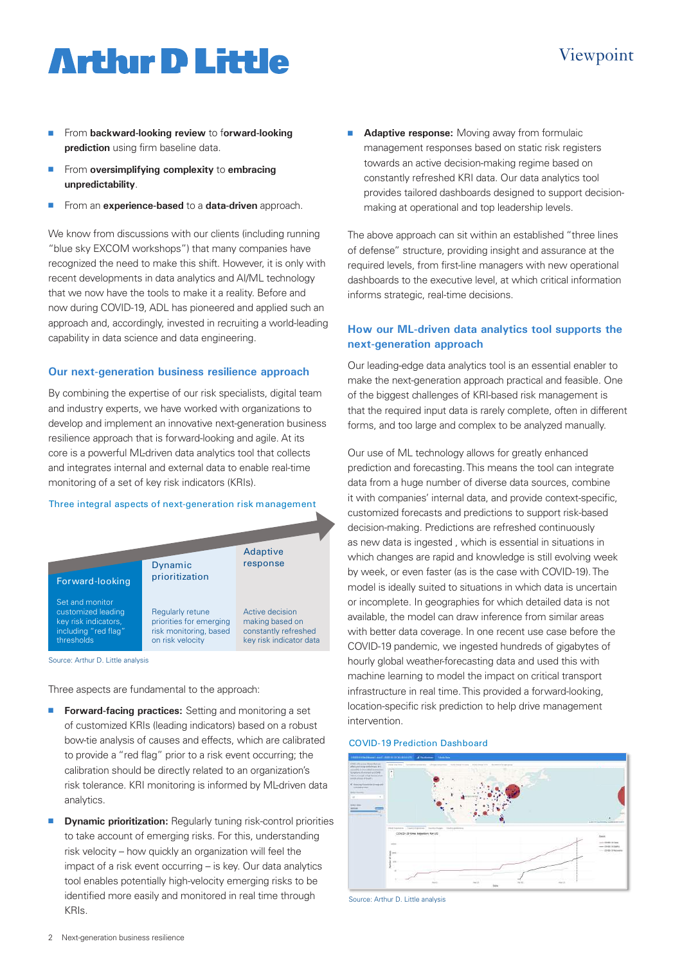## **Arthur D Little**

- **n** From backward-looking review to forward-looking **prediction** using firm baseline data.
- **n** From **oversimplifying complexity** to **embracing unpredictability**.
- <sup>n</sup> From an **experience-based** to a **data-driven** approach.

We know from discussions with our clients (including running "blue sky EXCOM workshops") that many companies have recognized the need to make this shift. However, it is only with recent developments in data analytics and AI/ML technology that we now have the tools to make it a reality. Before and now during COVID-19, ADL has pioneered and applied such an approach and, accordingly, invested in recruiting a world-leading capability in data science and data engineering.

#### **Our next-generation business resilience approach**

By combining the expertise of our risk specialists, digital team and industry experts, we have worked with organizations to develop and implement an innovative next-generation business resilience approach that is forward-looking and agile. At its core is a powerful ML-driven data analytics tool that collects and integrates internal and external data to enable real-time monitoring of a set of key risk indicators (KRIs).

#### Three integral aspects of next-generation risk management



Source: Arthur D. Little analysis

Three aspects are fundamental to the approach:

- **Forward-facing practices:** Setting and monitoring a set of customized KRIs (leading indicators) based on a robust bow-tie analysis of causes and effects, which are calibrated to provide a "red flag" prior to a risk event occurring; the calibration should be directly related to an organization's risk tolerance. KRI monitoring is informed by ML-driven data analytics.
- **n Dynamic prioritization:** Regularly tuning risk-control priorities to take account of emerging risks. For this, understanding risk velocity – how quickly an organization will feel the impact of a risk event occurring – is key. Our data analytics tool enables potentially high-velocity emerging risks to be identified more easily and monitored in real time through KRIs.

**Adaptive response:** Moving away from formulaic management responses based on static risk registers towards an active decision-making regime based on constantly refreshed KRI data. Our data analytics tool provides tailored dashboards designed to support decisionmaking at operational and top leadership levels.

The above approach can sit within an established "three lines of defense" structure, providing insight and assurance at the required levels, from first-line managers with new operational dashboards to the executive level, at which critical information informs strategic, real-time decisions.

#### **How our ML-driven data analytics tool supports the next-generation approach**

Our leading-edge data analytics tool is an essential enabler to make the next-generation approach practical and feasible. One of the biggest challenges of KRI-based risk management is that the required input data is rarely complete, often in different forms, and too large and complex to be analyzed manually.

Our use of ML technology allows for greatly enhanced prediction and forecasting. This means the tool can integrate data from a huge number of diverse data sources, combine it with companies' internal data, and provide context-specific, customized forecasts and predictions to support risk-based decision-making. Predictions are refreshed continuously as new data is ingested , which is essential in situations in which changes are rapid and knowledge is still evolving week by week, or even faster (as is the case with COVID-19). The model is ideally suited to situations in which data is uncertain or incomplete. In geographies for which detailed data is not available, the model can draw inference from similar areas with better data coverage. In one recent use case before the COVID-19 pandemic, we ingested hundreds of gigabytes of hourly global weather-forecasting data and used this with machine learning to model the impact on critical transport infrastructure in real time. This provided a forward-looking, location-specific risk prediction to help drive management intervention.

#### COVID-19 Prediction Dashboard



Source: Arthur D. Little analysis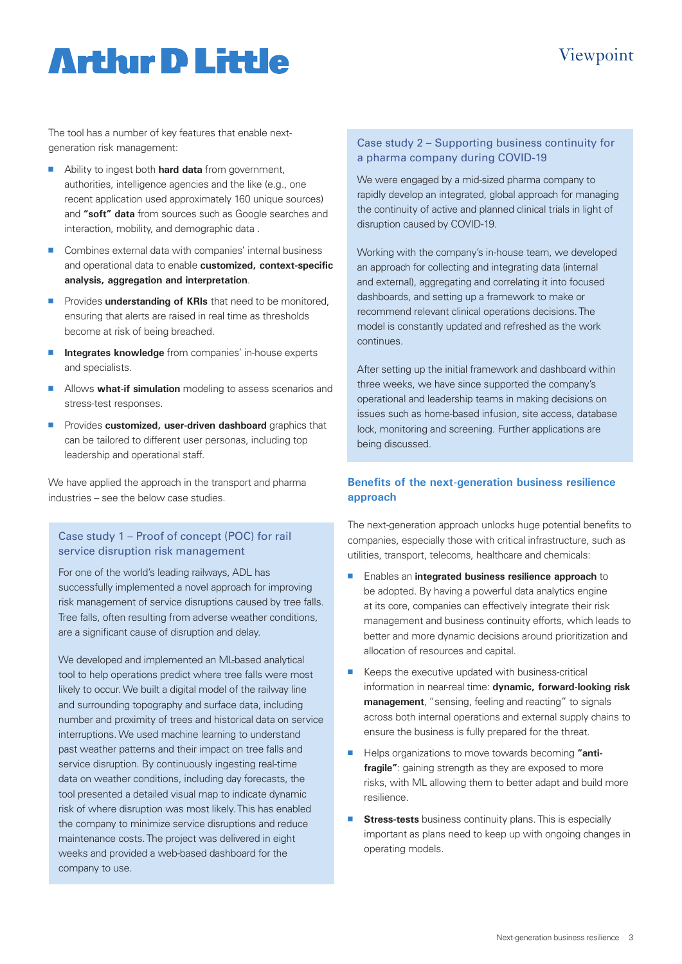### Viewpoint

## **Artlur D Little**

The tool has a number of key features that enable nextgeneration risk management:

- **n** Ability to ingest both **hard data** from government, authorities, intelligence agencies and the like (e.g., one recent application used approximately 160 unique sources) and **"soft" data** from sources such as Google searches and interaction, mobility, and demographic data .
- Combines external data with companies' internal business and operational data to enable **customized, context-specific analysis, aggregation and interpretation**.
- **n** Provides **understanding of KRIs** that need to be monitored. ensuring that alerts are raised in real time as thresholds become at risk of being breached.
- **n Integrates knowledge** from companies' in-house experts and specialists.
- **n** Allows **what-if simulation** modeling to assess scenarios and stress-test responses.
- **n** Provides **customized, user-driven dashboard** graphics that can be tailored to different user personas, including top leadership and operational staff.

We have applied the approach in the transport and pharma industries – see the below case studies.

#### Case study 1 – Proof of concept (POC) for rail service disruption risk management

For one of the world's leading railways, ADL has successfully implemented a novel approach for improving risk management of service disruptions caused by tree falls. Tree falls, often resulting from adverse weather conditions, are a significant cause of disruption and delay.

We developed and implemented an ML-based analytical tool to help operations predict where tree falls were most likely to occur. We built a digital model of the railway line and surrounding topography and surface data, including number and proximity of trees and historical data on service interruptions. We used machine learning to understand past weather patterns and their impact on tree falls and service disruption. By continuously ingesting real-time data on weather conditions, including day forecasts, the tool presented a detailed visual map to indicate dynamic risk of where disruption was most likely. This has enabled the company to minimize service disruptions and reduce maintenance costs. The project was delivered in eight weeks and provided a web-based dashboard for the company to use.

#### Case study 2 – Supporting business continuity for a pharma company during COVID-19

We were engaged by a mid-sized pharma company to rapidly develop an integrated, global approach for managing the continuity of active and planned clinical trials in light of disruption caused by COVID-19.

Working with the company's in-house team, we developed an approach for collecting and integrating data (internal and external), aggregating and correlating it into focused dashboards, and setting up a framework to make or recommend relevant clinical operations decisions. The model is constantly updated and refreshed as the work continues.

After setting up the initial framework and dashboard within three weeks, we have since supported the company's operational and leadership teams in making decisions on issues such as home-based infusion, site access, database lock, monitoring and screening. Further applications are being discussed.

#### **Benefits of the next-generation business resilience approach**

The next-generation approach unlocks huge potential benefits to companies, especially those with critical infrastructure, such as utilities, transport, telecoms, healthcare and chemicals:

- <sup>n</sup> Enables an **integrated business resilience approach** to be adopted. By having a powerful data analytics engine at its core, companies can effectively integrate their risk management and business continuity efforts, which leads to better and more dynamic decisions around prioritization and allocation of resources and capital.
- $\blacksquare$  Keeps the executive updated with business-critical information in near-real time: **dynamic, forward-looking risk management**, "sensing, feeling and reacting" to signals across both internal operations and external supply chains to ensure the business is fully prepared for the threat.
- **n** Helps organizations to move towards becoming "anti**fragile"**: gaining strength as they are exposed to more risks, with ML allowing them to better adapt and build more resilience.
- **F** Stress-tests business continuity plans. This is especially important as plans need to keep up with ongoing changes in operating models.